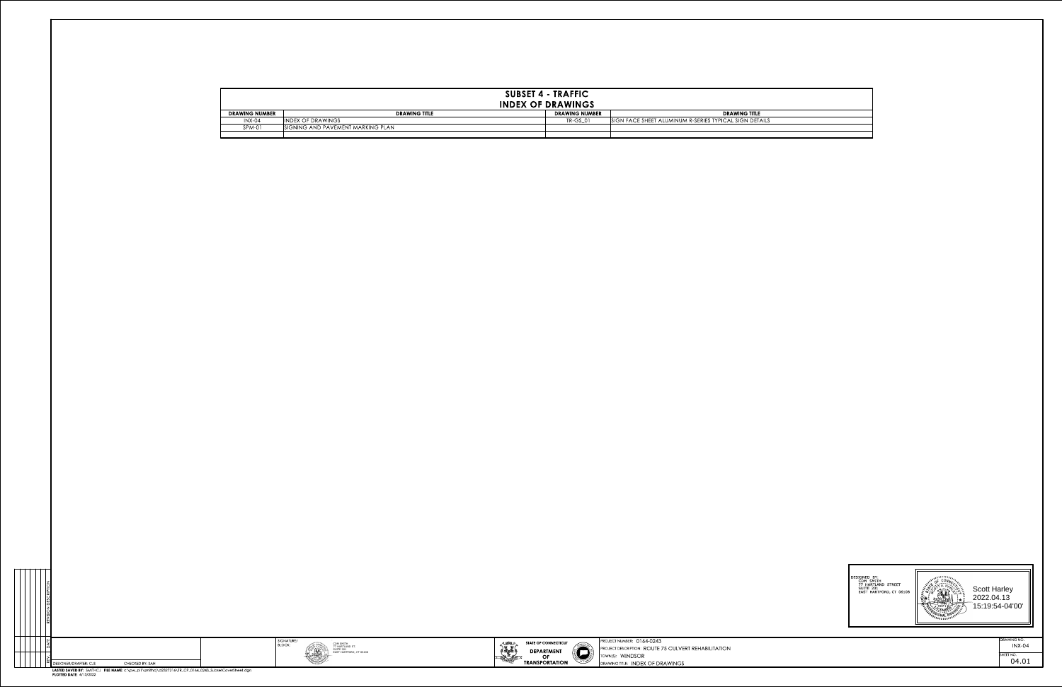

AWING NO. INX-04



| REVISION DESCRIPTION |                       |                                                                     |
|----------------------|-----------------------|---------------------------------------------------------------------|
| DATE                 |                       |                                                                     |
| REV.                 | DESIGNER/DRAFTER: CJS | CHECKED BY: SAH                                                     |
|                      |                       | <b>LACTED CAMED BM.</b> CARTLIC L. FUE MAAAE, and also will applied |



| SIGNATURE/ |  |
|------------|--|
| BLOCK:     |  |
|            |  |
|            |  |
|            |  |



4/13/2022 PLOTTED DATE: LASTED SAVED BY: SMITHCJ FILE NAME:c:\pw\_pl1\smithcj\d2327216\TR\_CP\_0164\_0243\_SubsetCoverSheet.dgn SHEET NO. 04.01

| <b>SUBSET 4 - TRAFFIC</b><br><b>INDEX OF DRAWINGS</b> |                                   |                       |                                                        |  |  |  |  |  |  |  |
|-------------------------------------------------------|-----------------------------------|-----------------------|--------------------------------------------------------|--|--|--|--|--|--|--|
| <b>DRAWING NUMBER</b>                                 | <b>DRAWING TITLE</b>              | <b>DRAWING NUMBER</b> | <b>DRAWING TITLE</b>                                   |  |  |  |  |  |  |  |
| $INX-04$                                              | <b>INDEX OF DRAWINGS</b>          | <b>TR-GS 01</b>       | SIGN FACE SHEET ALUMINUM R-SERIES TYPICAL SIGN DETAILS |  |  |  |  |  |  |  |
| SPM-01                                                | SIGNING AND PAVEMENT MARKING PLAN |                       |                                                        |  |  |  |  |  |  |  |
|                                                       |                                   |                       |                                                        |  |  |  |  |  |  |  |

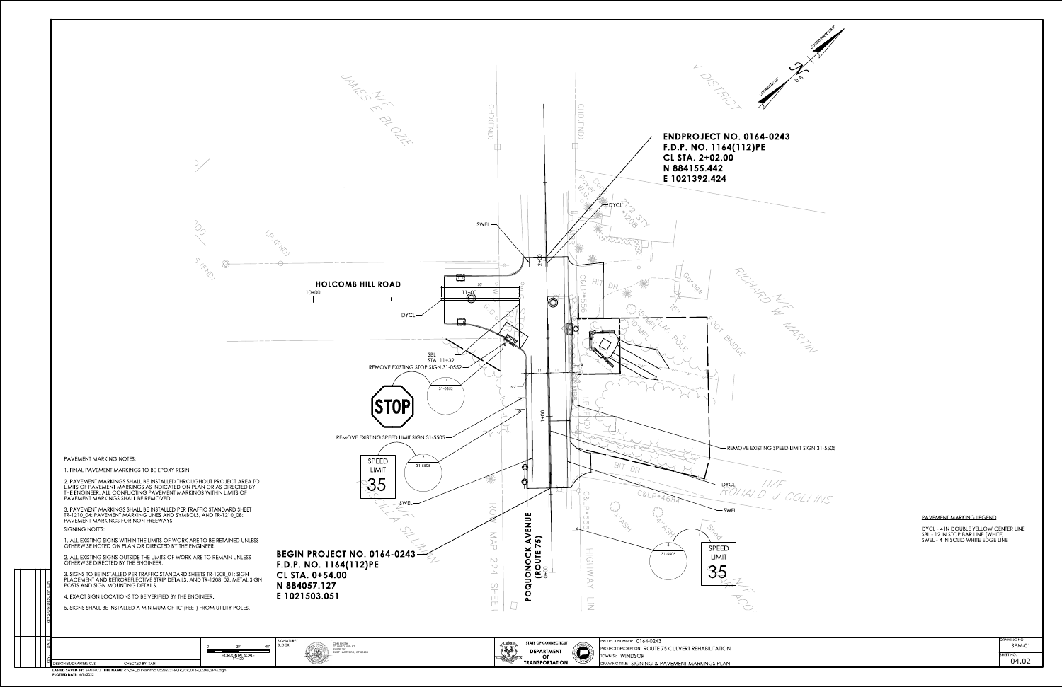



VING NC  $HEE$ T NO. SPM-01 04.02

|  | ш<br>⋖<br>∩∣ |                                                                                        |                                | 40' | SIGNATURE/<br><b>BLOCK:</b> | CDM SMITH<br>77 HARTLAND ST.                |
|--|--------------|----------------------------------------------------------------------------------------|--------------------------------|-----|-----------------------------|---------------------------------------------|
|  |              | $\mathbb{E}$ DESIGNER/DRAFTER: CJS<br>CHECKED BY: SAH                                  | HORIZONTAL SCALE<br>$1" = 20'$ |     |                             | <b>SUITE 201</b><br>EAST HARTFORD, CT 06108 |
|  |              | LASTED SAVED BY: SMITHCJ FILE NAME: c:\pw_pl1\smithcj\d2327216\TR_CP_0164_0243_SPM.dgn |                                |     |                             |                                             |

PLOTTED DATE: 4/8/2022

REVISION DESCRIPTION

SWEL - 4 IN SOLID WHITE EDGE LINE SBL - 12 IN STOP BAR LINE (WHITE) DYCL - 4 IN DOUBLE YELLOW CENTER LINE

PAVEMENT MARKING LEGEND

PAVEMENT MARKINGS SHALL BE REMOVED. THE ENGINEER. ALL CONFLICTING PAVEMENT MARKINGS WITHIN LIMITS OF LIMITS OF PAVEMENT MARKINGS AS INDICATED ON PLAN OR AS DIRECTED BY 2. PAVEMENT MARKINGS SHALL BE INSTALLED THROUGHOUT PROJECT AREA TO

1. FINAL PAVEMENT MARKINGS TO BE EPOXY RESIN.

PAVEMENT MARKING NOTES:

5. SIGNS SHALL BE INSTALLED A MINIMUM OF 10' (FEET) FROM UTILITY POLES.

PAVEMENT MARKINGS FOR NON FREEWAYS. TR-1210\_04: PAVEMENT MARKING LINES AND SYMBOLS, AND TR-1210\_08: 3. PAVEMENT MARKINGS SHALL BE INSTALLED PER TRAFFIC STANDARD SHEET SIGNING NOTES:

4. EXACT SIGN LOCATIONS TO BE VERIFIED BY THE ENGINEER.

POSTS AND SIGN MOUNTING DETAILS. PLACEMENT AND RETROREFLECTIVE STRIP DETAILS, AND TR-1208\_02: METAL SIGN 3. SIGNS TO BE INSTALLED PER TRAFFIC STANDARD SHEETS TR-1208\_01: SIGN

OTHERWISE DIRECTED BY THE ENGINEER. 2. ALL EXISTING SIGNS OUTSIDE THE LIMITS OF WORK ARE TO REMAIN UNLESS

OTHERWISE NOTED ON PLAN OR DIRECTED BY THE ENGINEER. 1. ALL EXISTING SIGNS WITHIN THE LIMITS OF WORK ARE TO BE RETAINED UNLESS